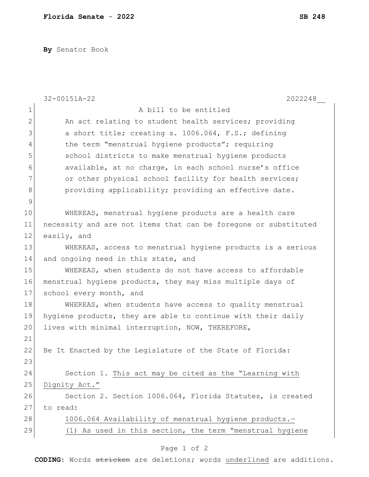**By** Senator Book

|                | 32-00151A-22<br>2022248                                         |
|----------------|-----------------------------------------------------------------|
| $\mathbf 1$    | A bill to be entitled                                           |
| $\overline{2}$ | An act relating to student health services; providing           |
| 3              | a short title; creating s. 1006.064, F.S.; defining             |
| $\overline{4}$ | the term "menstrual hygiene products"; requiring                |
| 5              | school districts to make menstrual hygiene products             |
| 6              | available, at no charge, in each school nurse's office          |
| 7              | or other physical school facility for health services;          |
| $\,8\,$        | providing applicability; providing an effective date.           |
| $\mathcal{G}$  |                                                                 |
| 10             | WHEREAS, menstrual hygiene products are a health care           |
| 11             | necessity and are not items that can be foregone or substituted |
| 12             | easily, and                                                     |
| 13             | WHEREAS, access to menstrual hygiene products is a serious      |
| 14             | and ongoing need in this state, and                             |
| 15             | WHEREAS, when students do not have access to affordable         |
| 16             | menstrual hygiene products, they may miss multiple days of      |
| 17             | school every month, and                                         |
| 18             | WHEREAS, when students have access to quality menstrual         |
| 19             | hygiene products, they are able to continue with their daily    |
| 20             | lives with minimal interruption, NOW, THEREFORE,                |
| 21             |                                                                 |
| 22             | Be It Enacted by the Legislature of the State of Florida:       |
| 23             |                                                                 |
| 24             | Section 1. This act may be cited as the "Learning with          |
| 25             | Dignity Act."                                                   |
| 26             | Section 2. Section 1006.064, Florida Statutes, is created       |
| 27             | to read:                                                        |
| 28             | 1006.064 Availability of menstrual hygiene products.-           |
| 29             | (1) As used in this section, the term "menstrual hygiene        |
|                |                                                                 |

## Page 1 of 2

**CODING**: Words stricken are deletions; words underlined are additions.